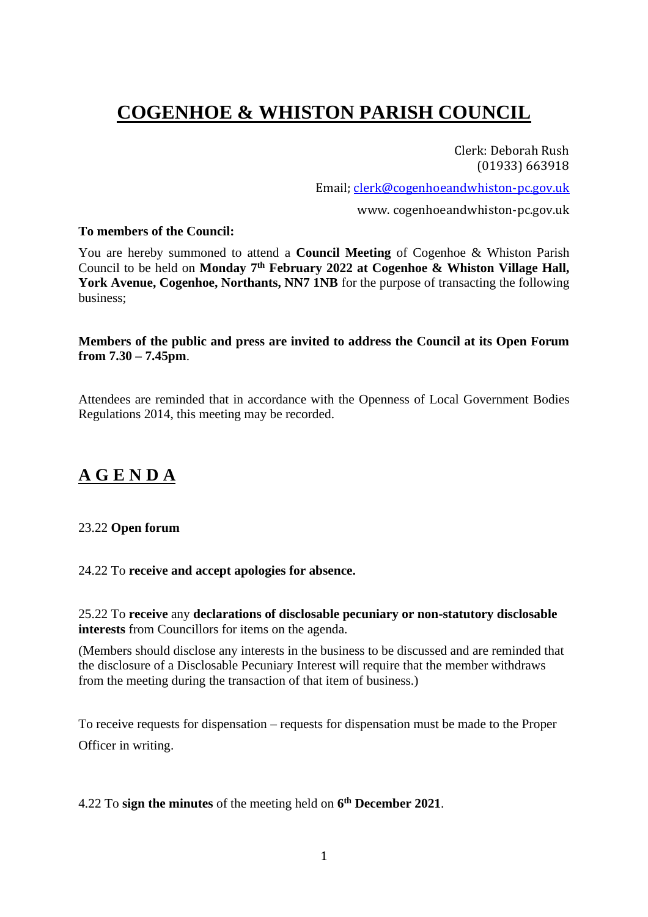# **COGENHOE & WHISTON PARISH COUNCIL**

Clerk: Deborah Rush (01933) 663918

Email; [clerk@cogenhoeandwhiston-pc.gov.uk](mailto:clerk@cogenhoeandwhiston-pc.gov.uk)

www. cogenhoeandwhiston-pc.gov.uk

#### **To members of the Council:**

You are hereby summoned to attend a **Council Meeting** of Cogenhoe & Whiston Parish Council to be held on **Monday 7 th February 2022 at Cogenhoe & Whiston Village Hall,**  York Avenue, Cogenhoe, Northants, NN7 1NB for the purpose of transacting the following business;

#### **Members of the public and press are invited to address the Council at its Open Forum from 7.30 – 7.45pm**.

Attendees are reminded that in accordance with the Openness of Local Government Bodies Regulations 2014, this meeting may be recorded.

## **A G E N D A**

## 23.22 **Open forum**

#### 24.22 To **receive and accept apologies for absence.**

25.22 To **receive** any **declarations of disclosable pecuniary or non-statutory disclosable interests** from Councillors for items on the agenda.

(Members should disclose any interests in the business to be discussed and are reminded that the disclosure of a Disclosable Pecuniary Interest will require that the member withdraws from the meeting during the transaction of that item of business.)

To receive requests for dispensation – requests for dispensation must be made to the Proper Officer in writing.

#### 4.22 To **sign the minutes** of the meeting held on **6 th December 2021**.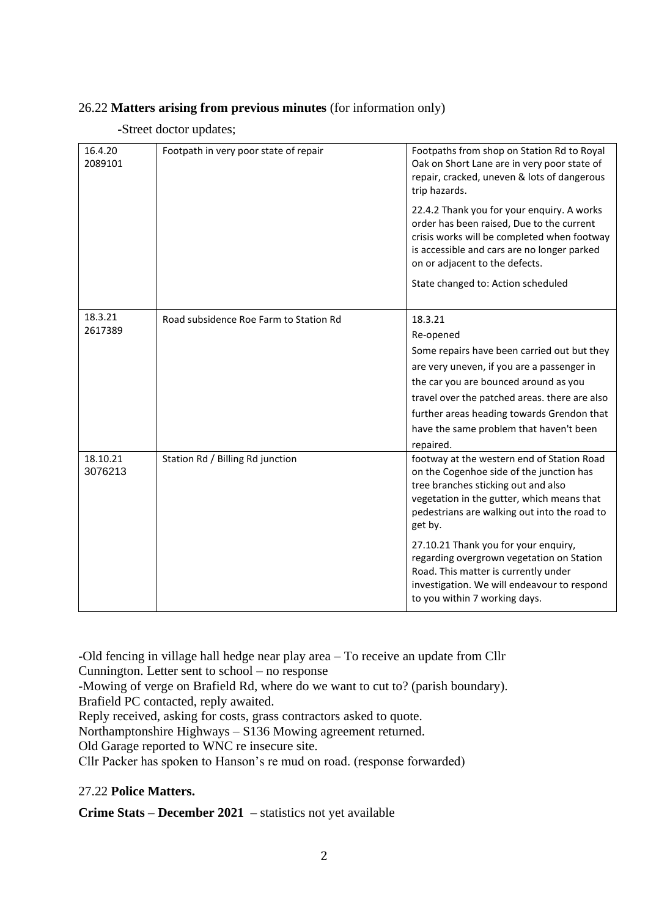## 26.22 **Matters arising from previous minutes** (for information only)

#### **-**Street doctor updates;

| 16.4.20<br>2089101  | Footpath in very poor state of repair  | Footpaths from shop on Station Rd to Royal<br>Oak on Short Lane are in very poor state of<br>repair, cracked, uneven & lots of dangerous<br>trip hazards.                                                                              |
|---------------------|----------------------------------------|----------------------------------------------------------------------------------------------------------------------------------------------------------------------------------------------------------------------------------------|
|                     |                                        | 22.4.2 Thank you for your enquiry. A works<br>order has been raised, Due to the current<br>crisis works will be completed when footway<br>is accessible and cars are no longer parked<br>on or adjacent to the defects.                |
|                     |                                        | State changed to: Action scheduled                                                                                                                                                                                                     |
| 18.3.21             | Road subsidence Roe Farm to Station Rd | 18.3.21                                                                                                                                                                                                                                |
| 2617389             |                                        | Re-opened                                                                                                                                                                                                                              |
|                     |                                        | Some repairs have been carried out but they                                                                                                                                                                                            |
|                     |                                        | are very uneven, if you are a passenger in                                                                                                                                                                                             |
|                     |                                        | the car you are bounced around as you                                                                                                                                                                                                  |
|                     |                                        | travel over the patched areas. there are also                                                                                                                                                                                          |
|                     |                                        | further areas heading towards Grendon that                                                                                                                                                                                             |
|                     |                                        | have the same problem that haven't been                                                                                                                                                                                                |
|                     |                                        | repaired.                                                                                                                                                                                                                              |
| 18.10.21<br>3076213 | Station Rd / Billing Rd junction       | footway at the western end of Station Road<br>on the Cogenhoe side of the junction has<br>tree branches sticking out and also<br>vegetation in the gutter, which means that<br>pedestrians are walking out into the road to<br>get by. |
|                     |                                        | 27.10.21 Thank you for your enquiry,<br>regarding overgrown vegetation on Station<br>Road. This matter is currently under<br>investigation. We will endeavour to respond<br>to you within 7 working days.                              |

-Old fencing in village hall hedge near play area – To receive an update from Cllr Cunnington. Letter sent to school – no response

-Mowing of verge on Brafield Rd, where do we want to cut to? (parish boundary). Brafield PC contacted, reply awaited.

Reply received, asking for costs, grass contractors asked to quote.

Northamptonshire Highways – S136 Mowing agreement returned.

Old Garage reported to WNC re insecure site.

Cllr Packer has spoken to Hanson's re mud on road. (response forwarded)

## 27.22 **Police Matters.**

**Crime Stats – December 2021 –** statistics not yet available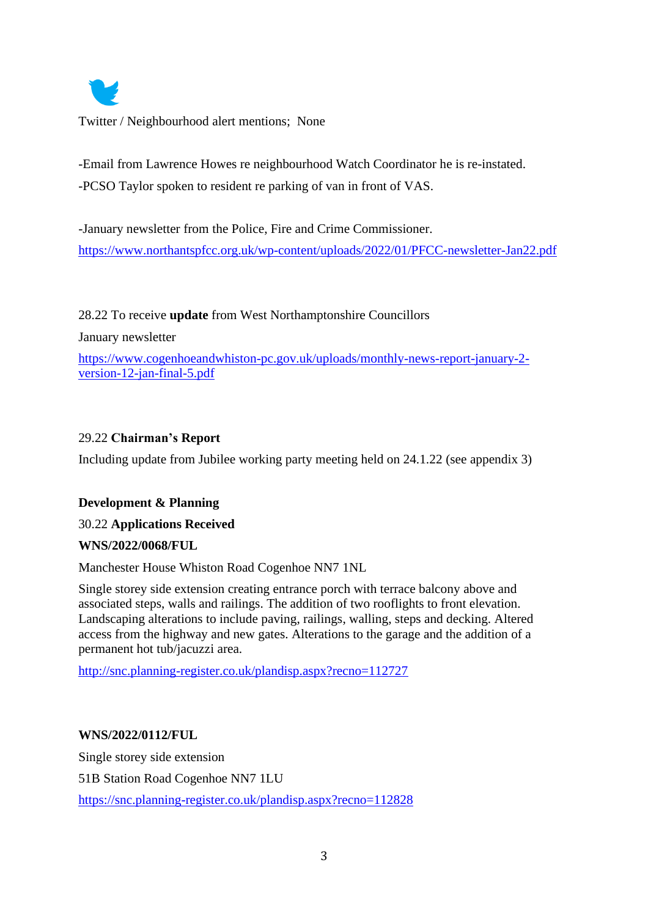

Twitter / Neighbourhood alert mentions; None

-Email from Lawrence Howes re neighbourhood Watch Coordinator he is re-instated. -PCSO Taylor spoken to resident re parking of van in front of VAS.

-January newsletter from the Police, Fire and Crime Commissioner. <https://www.northantspfcc.org.uk/wp-content/uploads/2022/01/PFCC-newsletter-Jan22.pdf>

28.22 To receive **update** from West Northamptonshire Councillors

January newsletter

[https://www.cogenhoeandwhiston-pc.gov.uk/uploads/monthly-news-report-january-2](https://www.cogenhoeandwhiston-pc.gov.uk/uploads/monthly-news-report-january-2-version-12-jan-final-5.pdf) [version-12-jan-final-5.pdf](https://www.cogenhoeandwhiston-pc.gov.uk/uploads/monthly-news-report-january-2-version-12-jan-final-5.pdf)

## 29.22 **Chairman's Report**

Including update from Jubilee working party meeting held on 24.1.22 (see appendix 3)

## **Development & Planning**

## 30.22 **Applications Received**

## **WNS/2022/0068/FUL**

Manchester House Whiston Road Cogenhoe NN7 1NL

Single storey side extension creating entrance porch with terrace balcony above and associated steps, walls and railings. The addition of two rooflights to front elevation. Landscaping alterations to include paving, railings, walling, steps and decking. Altered access from the highway and new gates. Alterations to the garage and the addition of a permanent hot tub/jacuzzi area.

<http://snc.planning-register.co.uk/plandisp.aspx?recno=112727>

## **WNS/2022/0112/FUL**

Single storey side extension 51B Station Road Cogenhoe NN7 1LU <https://snc.planning-register.co.uk/plandisp.aspx?recno=112828>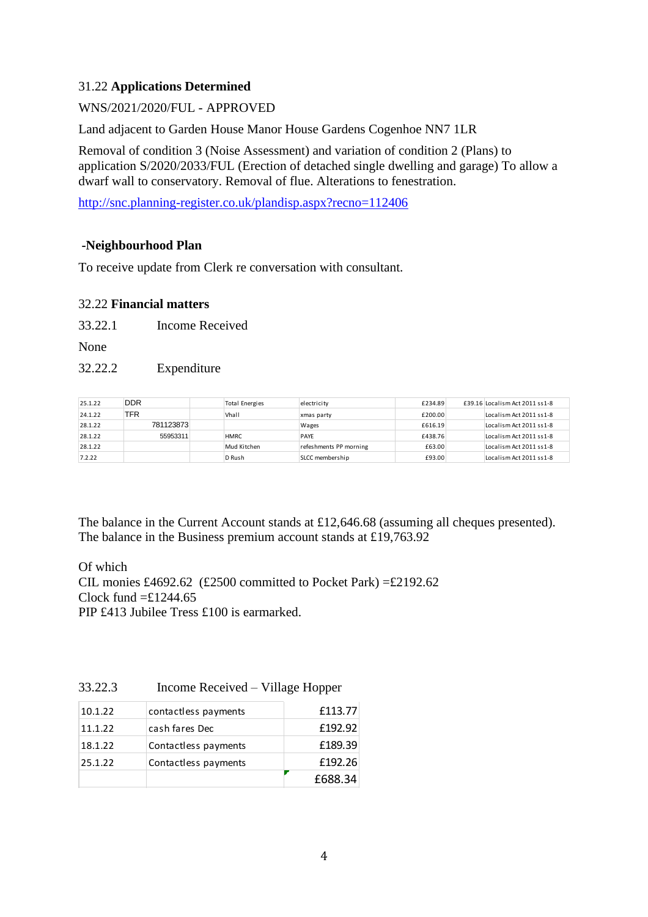## 31.22 **Applications Determined**

## WNS/2021/2020/FUL - APPROVED

Land adjacent to Garden House Manor House Gardens Cogenhoe NN7 1LR

Removal of condition 3 (Noise Assessment) and variation of condition 2 (Plans) to application S/2020/2033/FUL (Erection of detached single dwelling and garage) To allow a dwarf wall to conservatory. Removal of flue. Alterations to fenestration.

<http://snc.planning-register.co.uk/plandisp.aspx?recno=112406>

#### **-Neighbourhood Plan**

To receive update from Clerk re conversation with consultant.

#### 32.22 **Financial matters**

33.22.1 Income Received

None

#### 32.22.2 Expenditure

| 25.1.22 | <b>DDR</b> | <b>Total Energies</b> | electricity            | £234.89 | £39.16 Localism Act 2011 ss1-8 |
|---------|------------|-----------------------|------------------------|---------|--------------------------------|
| 24.1.22 | TFR        | Vhall                 | xmas party             | £200.00 | Localism Act 2011 ss1-8        |
| 28.1.22 | 781123873  |                       | Wages                  | £616.19 | Localism Act 2011 ss1-8        |
| 28.1.22 | 55953311   | <b>HMRC</b>           | <b>PAYE</b>            | £438.76 | Localism Act 2011 ss1-8        |
| 28.1.22 |            | Mud Kitchen           | refeshments PP morning | £63.00  | Localism Act 2011 ss1-8        |
| 7.2.22  |            | D Rush                | SLCC membership        | £93.00  | Localism Act 2011 ss1-8        |

The balance in the Current Account stands at £12,646.68 (assuming all cheques presented). The balance in the Business premium account stands at £19,763.92

Of which CIL monies £4692.62 (£2500 committed to Pocket Park) =£2192.62 Clock fund  $=\pounds1244.65$ PIP £413 Jubilee Tress £100 is earmarked.

#### 33.22.3 Income Received – Village Hopper

| 10.1.22 | contactless payments | £113.77 |
|---------|----------------------|---------|
| 11.1.22 | cash fares Dec       | £192.92 |
| 18.1.22 | Contactless payments | £189.39 |
| 25.1.22 | Contactless payments | £192.26 |
|         |                      | £688.34 |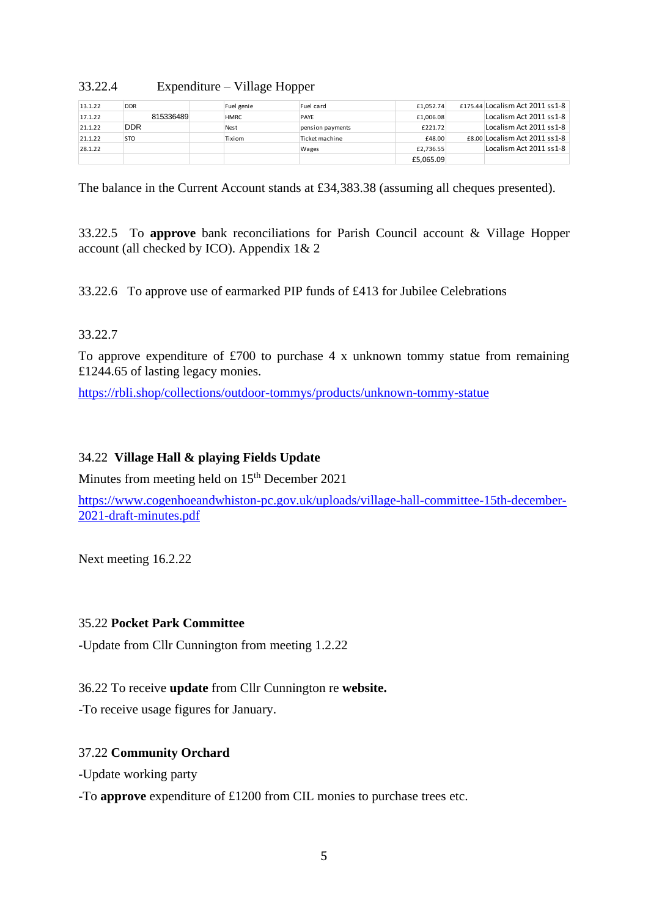#### 33.22.4 Expenditure – Village Hopper

| 13.1.22 | <b>DDR</b> | Fuel genie  | Fuel card        | £1.052.74 | £175.44 Localism Act 2011 ss1-8 |
|---------|------------|-------------|------------------|-----------|---------------------------------|
| 17.1.22 | 815336489  | <b>HMRC</b> | PAYE             | £1,006.08 | Localism Act 2011 ss1-8         |
| 21.1.22 | <b>DDR</b> | <b>Nest</b> | pension payments | £221.72   | Localism Act 2011 ss1-8         |
| 21.1.22 | <b>STO</b> | Tixiom      | Ticket machine   | £48.00    | £8.00 Localism Act 2011 ss1-8   |
| 28.1.22 |            |             | Wages            | £2.736.55 | Localism Act 2011 ss1-8         |
|         |            |             |                  | £5.065.09 |                                 |

The balance in the Current Account stands at £34,383.38 (assuming all cheques presented).

33.22.5 To **approve** bank reconciliations for Parish Council account & Village Hopper account (all checked by ICO). Appendix 1& 2

33.22.6 To approve use of earmarked PIP funds of £413 for Jubilee Celebrations

#### 33.22.7

To approve expenditure of £700 to purchase 4 x unknown tommy statue from remaining £1244.65 of lasting legacy monies.

<https://rbli.shop/collections/outdoor-tommys/products/unknown-tommy-statue>

### 34.22 **Village Hall & playing Fields Update**

Minutes from meeting held on 15<sup>th</sup> December 2021

[https://www.cogenhoeandwhiston-pc.gov.uk/uploads/village-hall-committee-15th-december-](https://www.cogenhoeandwhiston-pc.gov.uk/uploads/village-hall-committee-15th-december-2021-draft-minutes.pdf)[2021-draft-minutes.pdf](https://www.cogenhoeandwhiston-pc.gov.uk/uploads/village-hall-committee-15th-december-2021-draft-minutes.pdf)

Next meeting 16.2.22

#### 35.22 **Pocket Park Committee**

-Update from Cllr Cunnington from meeting 1.2.22

36.22 To receive **update** from Cllr Cunnington re **website.** 

-To receive usage figures for January.

## 37.22 **Community Orchard**

-Update working party

-To **approve** expenditure of £1200 from CIL monies to purchase trees etc.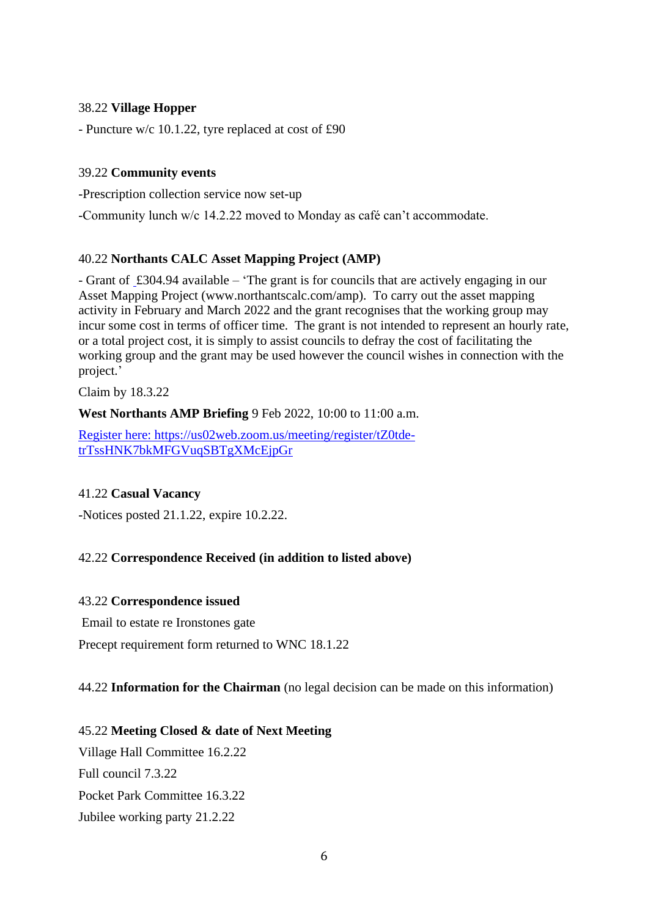#### 38.22 **Village Hopper**

- Puncture w/c 10.1.22, tyre replaced at cost of £90

#### 39.22 **Community events**

-Prescription collection service now set-up

-Community lunch w/c 14.2.22 moved to Monday as café can't accommodate.

#### 40.22 **Northants CALC Asset Mapping Project (AMP)**

- Grant of £304.94 available – 'The grant is for councils that are actively engaging in our Asset Mapping Project (www.northantscalc.com/amp). To carry out the asset mapping activity in February and March 2022 and the grant recognises that the working group may incur some cost in terms of officer time. The grant is not intended to represent an hourly rate, or a total project cost, it is simply to assist councils to defray the cost of facilitating the working group and the grant may be used however the council wishes in connection with the project.'

Claim by 18.3.22

**West Northants AMP Briefing** 9 Feb 2022, 10:00 to 11:00 a.m.

Register here: https://us02web.zoom.us/meeting/register/tZ0tdetrTssHNK7bkMFGVuqSBTgXMcEjpGr

#### 41.22 **Casual Vacancy**

-Notices posted 21.1.22, expire 10.2.22.

## 42.22 **Correspondence Received (in addition to listed above)**

#### 43.22 **Correspondence issued**

Email to estate re Ironstones gate

Precept requirement form returned to WNC 18.1.22

#### 44.22 **Information for the Chairman** (no legal decision can be made on this information)

#### 45.22 **Meeting Closed & date of Next Meeting**

Village Hall Committee 16.2.22 Full council 7.3.22 Pocket Park Committee 16.3.22 Jubilee working party 21.2.22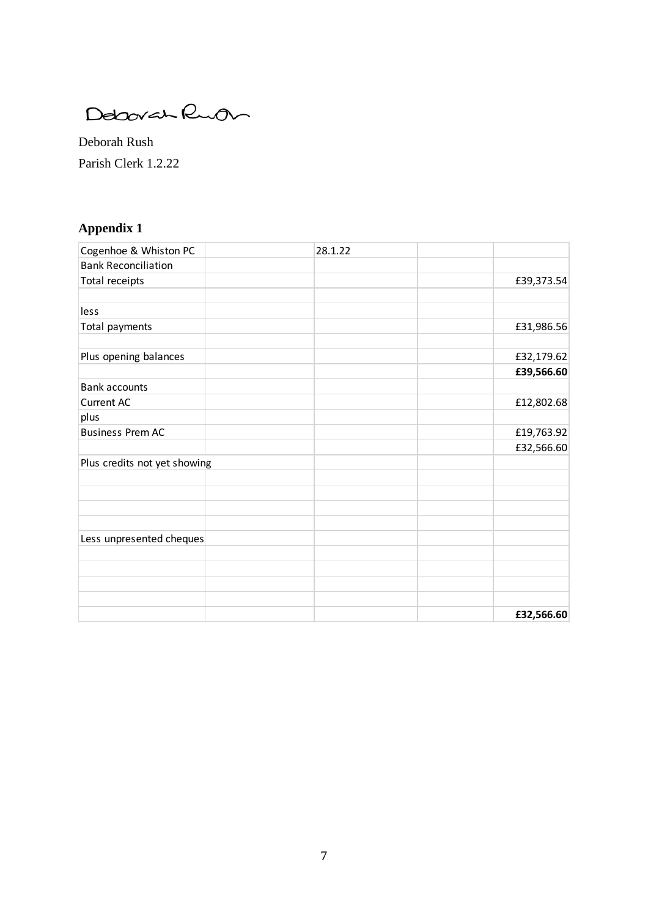Debovan Ruon

Deborah Rush Parish Clerk 1.2.22

## **Appendix 1**

| Cogenhoe & Whiston PC        | 28.1.22 |            |
|------------------------------|---------|------------|
| <b>Bank Reconciliation</b>   |         |            |
| Total receipts               |         | £39,373.54 |
|                              |         |            |
| less                         |         |            |
| Total payments               |         | £31,986.56 |
|                              |         |            |
| Plus opening balances        |         | £32,179.62 |
|                              |         | £39,566.60 |
| <b>Bank accounts</b>         |         |            |
| <b>Current AC</b>            |         | £12,802.68 |
| plus                         |         |            |
| <b>Business Prem AC</b>      |         | £19,763.92 |
|                              |         | £32,566.60 |
| Plus credits not yet showing |         |            |
|                              |         |            |
|                              |         |            |
|                              |         |            |
|                              |         |            |
| Less unpresented cheques     |         |            |
|                              |         |            |
|                              |         |            |
|                              |         |            |
|                              |         |            |
|                              |         | £32,566.60 |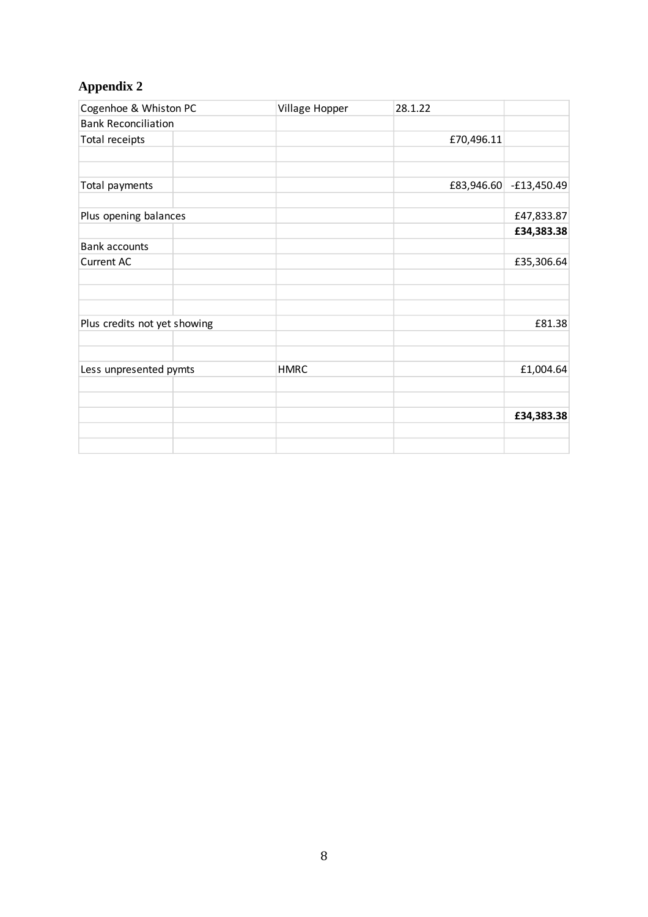## **Appendix 2**

| Cogenhoe & Whiston PC        |  | Village Hopper | 28.1.22    |               |
|------------------------------|--|----------------|------------|---------------|
| <b>Bank Reconciliation</b>   |  |                |            |               |
| Total receipts               |  |                | £70,496.11 |               |
|                              |  |                |            |               |
| Total payments               |  |                | £83,946.60 | $-£13,450.49$ |
| Plus opening balances        |  |                |            | £47,833.87    |
|                              |  |                |            | £34,383.38    |
| <b>Bank accounts</b>         |  |                |            |               |
| <b>Current AC</b>            |  |                |            | £35,306.64    |
|                              |  |                |            |               |
| Plus credits not yet showing |  |                |            | £81.38        |
|                              |  |                |            |               |
| Less unpresented pymts       |  | <b>HMRC</b>    |            | £1,004.64     |
|                              |  |                |            | £34,383.38    |
|                              |  |                |            |               |
|                              |  |                |            |               |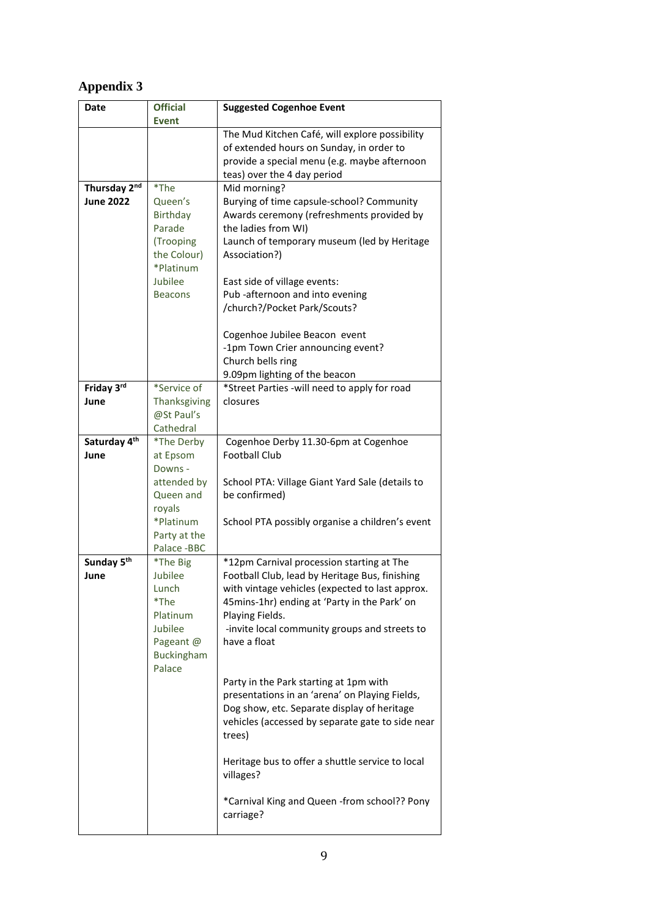## **Appendix 3**

| Date                   | <b>Official</b>     | <b>Suggested Cogenhoe Event</b>                                 |
|------------------------|---------------------|-----------------------------------------------------------------|
|                        | <b>Event</b>        |                                                                 |
|                        |                     | The Mud Kitchen Café, will explore possibility                  |
|                        |                     | of extended hours on Sunday, in order to                        |
|                        |                     | provide a special menu (e.g. maybe afternoon                    |
|                        |                     | teas) over the 4 day period                                     |
| Thursday 2nd           | *The                | Mid morning?                                                    |
| <b>June 2022</b>       | Queen's             | Burying of time capsule-school? Community                       |
|                        | Birthday            | Awards ceremony (refreshments provided by                       |
|                        | Parade              | the ladies from WI)                                             |
|                        | (Trooping           | Launch of temporary museum (led by Heritage                     |
|                        | the Colour)         | Association?)                                                   |
|                        | *Platinum           |                                                                 |
|                        | Jubilee             | East side of village events:                                    |
|                        | <b>Beacons</b>      | Pub -afternoon and into evening                                 |
|                        |                     | /church?/Pocket Park/Scouts?                                    |
|                        |                     | Cogenhoe Jubilee Beacon event                                   |
|                        |                     | -1pm Town Crier announcing event?                               |
|                        |                     | Church bells ring                                               |
|                        |                     | 9.09pm lighting of the beacon                                   |
| Friday 3rd             | *Service of         | *Street Parties -will need to apply for road                    |
| June                   | Thanksgiving        | closures                                                        |
|                        | @St Paul's          |                                                                 |
|                        | Cathedral           |                                                                 |
| Saturday 4th           | *The Derby          | Cogenhoe Derby 11.30-6pm at Cogenhoe                            |
| June                   | at Epsom            | <b>Football Club</b>                                            |
|                        | Downs -             |                                                                 |
|                        | attended by         | School PTA: Village Giant Yard Sale (details to                 |
|                        | Queen and           | be confirmed)                                                   |
|                        | royals              |                                                                 |
|                        | *Platinum           | School PTA possibly organise a children's event                 |
|                        | Party at the        |                                                                 |
|                        | Palace -BBC         |                                                                 |
| Sunday 5 <sup>th</sup> | *The Big            | *12pm Carnival procession starting at The                       |
| June                   | Jubilee             | Football Club, lead by Heritage Bus, finishing                  |
|                        | Lunch<br>*The       | with vintage vehicles (expected to last approx.                 |
|                        |                     | 45mins-1hr) ending at 'Party in the Park' on<br>Playing Fields. |
|                        | Platinum<br>Jubilee | -invite local community groups and streets to                   |
|                        | Pageant @           | have a float                                                    |
|                        | <b>Buckingham</b>   |                                                                 |
|                        | Palace              |                                                                 |
|                        |                     | Party in the Park starting at 1pm with                          |
|                        |                     | presentations in an 'arena' on Playing Fields,                  |
|                        |                     | Dog show, etc. Separate display of heritage                     |
|                        |                     | vehicles (accessed by separate gate to side near                |
|                        |                     | trees)                                                          |
|                        |                     |                                                                 |
|                        |                     | Heritage bus to offer a shuttle service to local                |
|                        |                     | villages?                                                       |
|                        |                     |                                                                 |
|                        |                     | *Carnival King and Queen -from school?? Pony                    |
|                        |                     | carriage?                                                       |
|                        |                     |                                                                 |